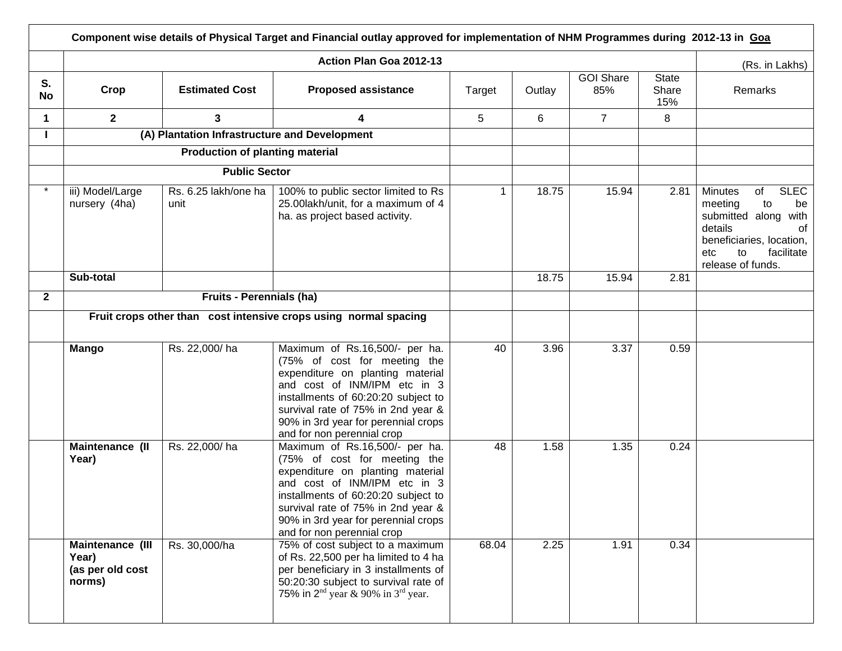|                 | Component wise details of Physical Target and Financial outlay approved for implementation of NHM Programmes during 2012-13 in Goa |                                               |                                                                                                                                                                                                                                                                                      |        |        |                         |                       |                                                                                                                                                                                 |  |
|-----------------|------------------------------------------------------------------------------------------------------------------------------------|-----------------------------------------------|--------------------------------------------------------------------------------------------------------------------------------------------------------------------------------------------------------------------------------------------------------------------------------------|--------|--------|-------------------------|-----------------------|---------------------------------------------------------------------------------------------------------------------------------------------------------------------------------|--|
|                 |                                                                                                                                    |                                               | Action Plan Goa 2012-13                                                                                                                                                                                                                                                              |        |        | (Rs. in Lakhs)          |                       |                                                                                                                                                                                 |  |
| S.<br><b>No</b> | Crop                                                                                                                               | <b>Estimated Cost</b>                         | <b>Proposed assistance</b>                                                                                                                                                                                                                                                           | Target | Outlay | <b>GOI Share</b><br>85% | State<br>Share<br>15% | Remarks                                                                                                                                                                         |  |
| 1               | 2 <sup>1</sup>                                                                                                                     | $\mathbf{3}$                                  | 4                                                                                                                                                                                                                                                                                    | 5      | 6      | $\overline{7}$          | 8                     |                                                                                                                                                                                 |  |
|                 |                                                                                                                                    | (A) Plantation Infrastructure and Development |                                                                                                                                                                                                                                                                                      |        |        |                         |                       |                                                                                                                                                                                 |  |
|                 |                                                                                                                                    | <b>Production of planting material</b>        |                                                                                                                                                                                                                                                                                      |        |        |                         |                       |                                                                                                                                                                                 |  |
|                 |                                                                                                                                    | <b>Public Sector</b>                          |                                                                                                                                                                                                                                                                                      |        |        |                         |                       |                                                                                                                                                                                 |  |
|                 | iii) Model/Large<br>nursery (4ha)                                                                                                  | Rs. 6.25 lakh/one ha<br>unit                  | 100% to public sector limited to Rs<br>25.00lakh/unit, for a maximum of 4<br>ha. as project based activity.                                                                                                                                                                          | 1      | 18.75  | 15.94                   | 2.81                  | <b>SLEC</b><br><b>Minutes</b><br>of<br>meeting<br>to<br>be<br>submitted along with<br>details<br>οf<br>beneficiaries, location,<br>facilitate<br>etc<br>to<br>release of funds. |  |
|                 | Sub-total                                                                                                                          |                                               |                                                                                                                                                                                                                                                                                      |        | 18.75  | 15.94                   | 2.81                  |                                                                                                                                                                                 |  |
| $\mathbf{2}$    |                                                                                                                                    | <b>Fruits - Perennials (ha)</b>               |                                                                                                                                                                                                                                                                                      |        |        |                         |                       |                                                                                                                                                                                 |  |
|                 | Fruit crops other than cost intensive crops using normal spacing                                                                   |                                               |                                                                                                                                                                                                                                                                                      |        |        |                         |                       |                                                                                                                                                                                 |  |
|                 | <b>Mango</b>                                                                                                                       | Rs. 22,000/ha                                 | Maximum of Rs.16,500/- per ha.<br>(75% of cost for meeting the<br>expenditure on planting material<br>and cost of INM/IPM etc in 3<br>installments of 60:20:20 subject to<br>survival rate of 75% in 2nd year &<br>90% in 3rd year for perennial crops<br>and for non perennial crop | 40     | 3.96   | 3.37                    | 0.59                  |                                                                                                                                                                                 |  |
|                 | Maintenance (II<br>Year)                                                                                                           | Rs. 22,000/ha                                 | Maximum of Rs.16,500/- per ha.<br>(75% of cost for meeting the<br>expenditure on planting material<br>and cost of INM/IPM etc in 3<br>installments of 60:20:20 subject to<br>survival rate of 75% in 2nd year &<br>90% in 3rd year for perennial crops<br>and for non perennial crop | 48     | 1.58   | 1.35                    | 0.24                  |                                                                                                                                                                                 |  |
|                 | Maintenance (III<br>Year)<br>(as per old cost<br>norms)                                                                            | Rs. 30,000/ha                                 | 75% of cost subject to a maximum<br>of Rs. 22,500 per ha limited to 4 ha<br>per beneficiary in 3 installments of<br>50:20:30 subject to survival rate of<br>75% in $2^{nd}$ year & 90% in $3^{rd}$ year.                                                                             | 68.04  | 2.25   | 1.91                    | 0.34                  |                                                                                                                                                                                 |  |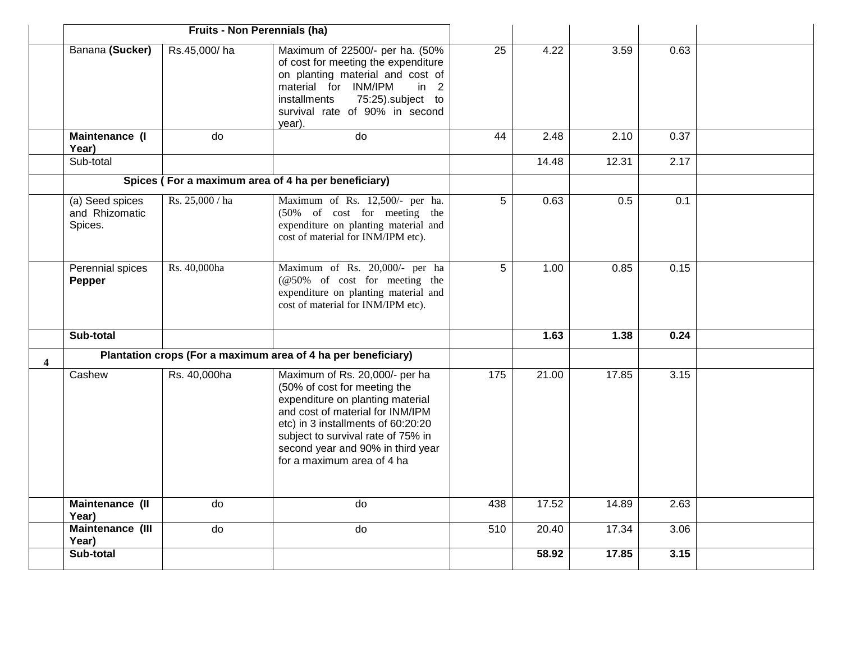|                         | Fruits - Non Perennials (ha)                        |                 |                                                                                                                                                                                                                                                                                       |                 |       |       |      |  |
|-------------------------|-----------------------------------------------------|-----------------|---------------------------------------------------------------------------------------------------------------------------------------------------------------------------------------------------------------------------------------------------------------------------------------|-----------------|-------|-------|------|--|
|                         | Banana (Sucker)                                     | Rs.45,000/ha    | Maximum of 22500/- per ha. (50%<br>of cost for meeting the expenditure<br>on planting material and cost of<br>material for INM/IPM<br>in 2<br>75:25).subject to<br>installments<br>survival rate of 90% in second<br>year).                                                           | $\overline{25}$ | 4.22  | 3.59  | 0.63 |  |
|                         | <b>Maintenance (I)</b><br>Year)                     | do              | $\overline{d}$                                                                                                                                                                                                                                                                        | $\overline{44}$ | 2.48  | 2.10  | 0.37 |  |
|                         | Sub-total                                           |                 |                                                                                                                                                                                                                                                                                       |                 | 14.48 | 12.31 | 2.17 |  |
|                         | Spices (For a maximum area of 4 ha per beneficiary) |                 |                                                                                                                                                                                                                                                                                       |                 |       |       |      |  |
|                         | (a) Seed spices<br>and Rhizomatic<br>Spices.        | Rs. 25,000 / ha | Maximum of Rs. 12,500/- per ha.<br>(50% of cost for meeting the<br>expenditure on planting material and<br>cost of material for INM/IPM etc).                                                                                                                                         | 5               | 0.63  | 0.5   | 0.1  |  |
|                         | Perennial spices<br>Pepper                          | Rs. 40,000ha    | Maximum of Rs. 20,000/- per ha<br>(@50% of cost for meeting the<br>expenditure on planting material and<br>cost of material for INM/IPM etc).                                                                                                                                         | 5               | 1.00  | 0.85  | 0.15 |  |
|                         | Sub-total                                           |                 |                                                                                                                                                                                                                                                                                       |                 | 1.63  | 1.38  | 0.24 |  |
| $\overline{\mathbf{4}}$ |                                                     |                 | Plantation crops (For a maximum area of 4 ha per beneficiary)                                                                                                                                                                                                                         |                 |       |       |      |  |
|                         | Cashew                                              | Rs. 40,000ha    | Maximum of Rs. 20,000/- per ha<br>(50% of cost for meeting the<br>expenditure on planting material<br>and cost of material for INM/IPM<br>etc) in 3 installments of 60:20:20<br>subject to survival rate of 75% in<br>second year and 90% in third year<br>for a maximum area of 4 ha | 175             | 21.00 | 17.85 | 3.15 |  |
|                         | Maintenance (II<br>Year)                            | do              | do                                                                                                                                                                                                                                                                                    | 438             | 17.52 | 14.89 | 2.63 |  |
|                         | Maintenance (III<br>Year)                           | do              | do                                                                                                                                                                                                                                                                                    | 510             | 20.40 | 17.34 | 3.06 |  |
|                         | Sub-total                                           |                 |                                                                                                                                                                                                                                                                                       |                 | 58.92 | 17.85 | 3.15 |  |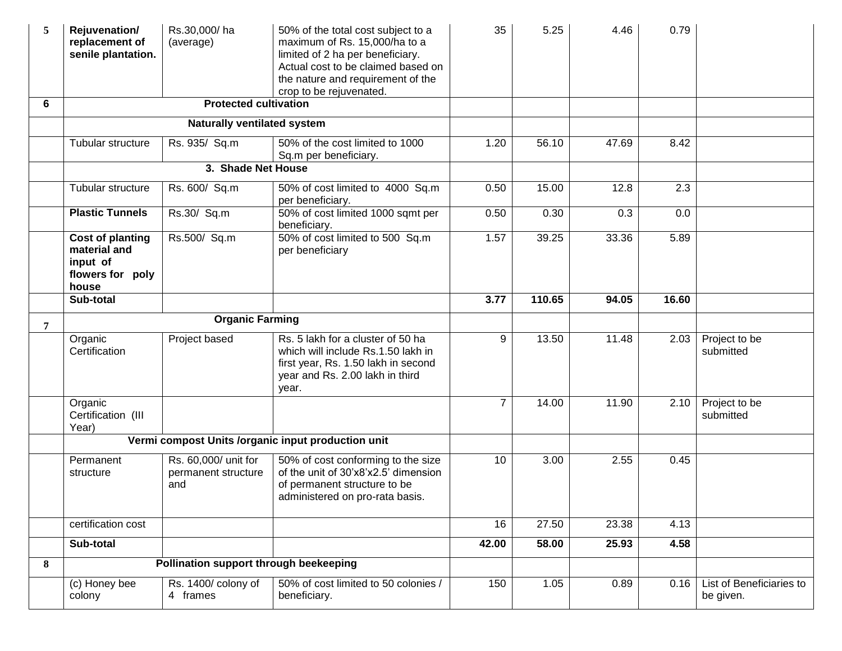| 5 | Rejuvenation/<br>replacement of<br>senile plantation.                            | Rs.30,000/ha<br>(average)                          | 50% of the total cost subject to a<br>maximum of Rs. 15,000/ha to a<br>limited of 2 ha per beneficiary.<br>Actual cost to be claimed based on<br>the nature and requirement of the<br>crop to be rejuvenated. | 35             | 5.25   | 4.46  | 0.79  |                                       |
|---|----------------------------------------------------------------------------------|----------------------------------------------------|---------------------------------------------------------------------------------------------------------------------------------------------------------------------------------------------------------------|----------------|--------|-------|-------|---------------------------------------|
| 6 |                                                                                  | <b>Protected cultivation</b>                       |                                                                                                                                                                                                               |                |        |       |       |                                       |
|   |                                                                                  | <b>Naturally ventilated system</b>                 |                                                                                                                                                                                                               |                |        |       |       |                                       |
|   | Tubular structure                                                                | Rs. 935/ Sq.m                                      | 50% of the cost limited to 1000<br>Sq.m per beneficiary.                                                                                                                                                      | 1.20           | 56.10  | 47.69 | 8.42  |                                       |
|   |                                                                                  | 3. Shade Net House                                 |                                                                                                                                                                                                               |                |        |       |       |                                       |
|   | Tubular structure                                                                | Rs. 600/ Sq.m                                      | 50% of cost limited to 4000 Sq.m<br>per beneficiary.                                                                                                                                                          | 0.50           | 15.00  | 12.8  | 2.3   |                                       |
|   | <b>Plastic Tunnels</b>                                                           | Rs.30/ Sq.m                                        | 50% of cost limited 1000 sqmt per<br>beneficiary.                                                                                                                                                             | 0.50           | 0.30   | 0.3   | 0.0   |                                       |
|   | <b>Cost of planting</b><br>material and<br>input of<br>flowers for poly<br>house | Rs.500/ Sq.m                                       | 50% of cost limited to 500 Sq.m<br>per beneficiary                                                                                                                                                            | 1.57           | 39.25  | 33.36 | 5.89  |                                       |
|   | Sub-total                                                                        |                                                    |                                                                                                                                                                                                               | 3.77           | 110.65 | 94.05 | 16.60 |                                       |
| 7 |                                                                                  | <b>Organic Farming</b>                             |                                                                                                                                                                                                               |                |        |       |       |                                       |
|   | Organic<br>Certification                                                         | Project based                                      | Rs. 5 lakh for a cluster of 50 ha<br>which will include Rs.1.50 lakh in<br>first year, Rs. 1.50 lakh in second<br>year and Rs. 2.00 lakh in third<br>year.                                                    | 9              | 13.50  | 11.48 | 2.03  | Project to be<br>submitted            |
|   | Organic<br>Certification (III<br>Year)                                           |                                                    |                                                                                                                                                                                                               | $\overline{7}$ | 14.00  | 11.90 | 2.10  | Project to be<br>submitted            |
|   |                                                                                  |                                                    | Vermi compost Units /organic input production unit                                                                                                                                                            |                |        |       |       |                                       |
|   | Permanent<br>structure                                                           | Rs. 60,000/ unit for<br>permanent structure<br>and | 50% of cost conforming to the size<br>of the unit of 30'x8'x2.5' dimension<br>of permanent structure to be<br>administered on pro-rata basis.                                                                 | 10             | 3.00   | 2.55  | 0.45  |                                       |
|   | certification cost                                                               |                                                    |                                                                                                                                                                                                               | 16             | 27.50  | 23.38 | 4.13  |                                       |
|   | Sub-total                                                                        |                                                    |                                                                                                                                                                                                               | 42.00          | 58.00  | 25.93 | 4.58  |                                       |
| 8 |                                                                                  | Pollination support through beekeeping             |                                                                                                                                                                                                               |                |        |       |       |                                       |
|   | (c) Honey bee<br>colony                                                          | Rs. 1400/ colony of<br>4 frames                    | 50% of cost limited to 50 colonies /<br>beneficiary.                                                                                                                                                          | 150            | 1.05   | 0.89  | 0.16  | List of Beneficiaries to<br>be given. |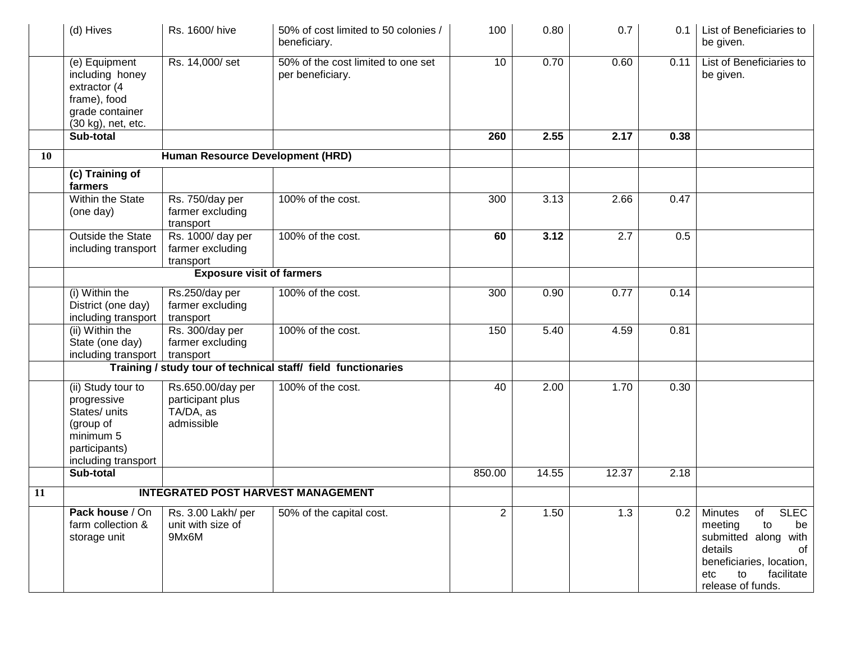|    | (d) Hives                                                                                                            | Rs. 1600/hive                                                    | 50% of cost limited to 50 colonies /<br>beneficiary.          | 100             | 0.80  | 0.7   | 0.1  | List of Beneficiaries to<br>be given.                                                                                                                                    |
|----|----------------------------------------------------------------------------------------------------------------------|------------------------------------------------------------------|---------------------------------------------------------------|-----------------|-------|-------|------|--------------------------------------------------------------------------------------------------------------------------------------------------------------------------|
|    | (e) Equipment<br>including honey<br>extractor (4<br>frame), food<br>grade container<br>(30 kg), net, etc.            | Rs. 14,000/set                                                   | 50% of the cost limited to one set<br>per beneficiary.        | 10 <sup>1</sup> | 0.70  | 0.60  | 0.11 | List of Beneficiaries to<br>be given.                                                                                                                                    |
|    | Sub-total                                                                                                            |                                                                  |                                                               | 260             | 2.55  | 2.17  | 0.38 |                                                                                                                                                                          |
| 10 |                                                                                                                      | Human Resource Development (HRD)                                 |                                                               |                 |       |       |      |                                                                                                                                                                          |
|    | (c) Training of<br>farmers                                                                                           |                                                                  |                                                               |                 |       |       |      |                                                                                                                                                                          |
|    | Within the State<br>(one day)                                                                                        | Rs. 750/day per<br>farmer excluding<br>transport                 | 100% of the cost.                                             | 300             | 3.13  | 2.66  | 0.47 |                                                                                                                                                                          |
|    | Outside the State<br>including transport                                                                             | Rs. 1000/day per<br>farmer excluding<br>transport                | 100% of the cost.                                             | 60              | 3.12  | 2.7   | 0.5  |                                                                                                                                                                          |
|    |                                                                                                                      | <b>Exposure visit of farmers</b>                                 |                                                               |                 |       |       |      |                                                                                                                                                                          |
|    | (i) Within the<br>District (one day)<br>including transport                                                          | Rs.250/day per<br>farmer excluding<br>transport                  | 100% of the cost.                                             | 300             | 0.90  | 0.77  | 0.14 |                                                                                                                                                                          |
|    | (ii) Within the<br>State (one day)<br>including transport                                                            | Rs. 300/day per<br>farmer excluding<br>transport                 | 100% of the cost.                                             | 150             | 5.40  | 4.59  | 0.81 |                                                                                                                                                                          |
|    |                                                                                                                      |                                                                  | Training / study tour of technical staff/ field functionaries |                 |       |       |      |                                                                                                                                                                          |
|    | (ii) Study tour to<br>progressive<br>States/ units<br>(group of<br>minimum 5<br>participants)<br>including transport | Rs.650.00/day per<br>participant plus<br>TA/DA, as<br>admissible | 100% of the cost.                                             | 40              | 2.00  | 1.70  | 0.30 |                                                                                                                                                                          |
|    | Sub-total                                                                                                            |                                                                  |                                                               | 850.00          | 14.55 | 12.37 | 2.18 |                                                                                                                                                                          |
| 11 |                                                                                                                      |                                                                  | <b>INTEGRATED POST HARVEST MANAGEMENT</b>                     |                 |       |       |      |                                                                                                                                                                          |
|    | Pack house / On<br>farm collection &<br>storage unit                                                                 | Rs. 3.00 Lakh/ per<br>unit with size of<br>9Mx6M                 | 50% of the capital cost.                                      | $\overline{2}$  | 1.50  | 1.3   | 0.2  | <b>SLEC</b><br>of<br>Minutes<br>meeting<br>to<br>be<br>submitted along with<br>details<br>of<br>beneficiaries, location,<br>facilitate<br>etc<br>to<br>release of funds. |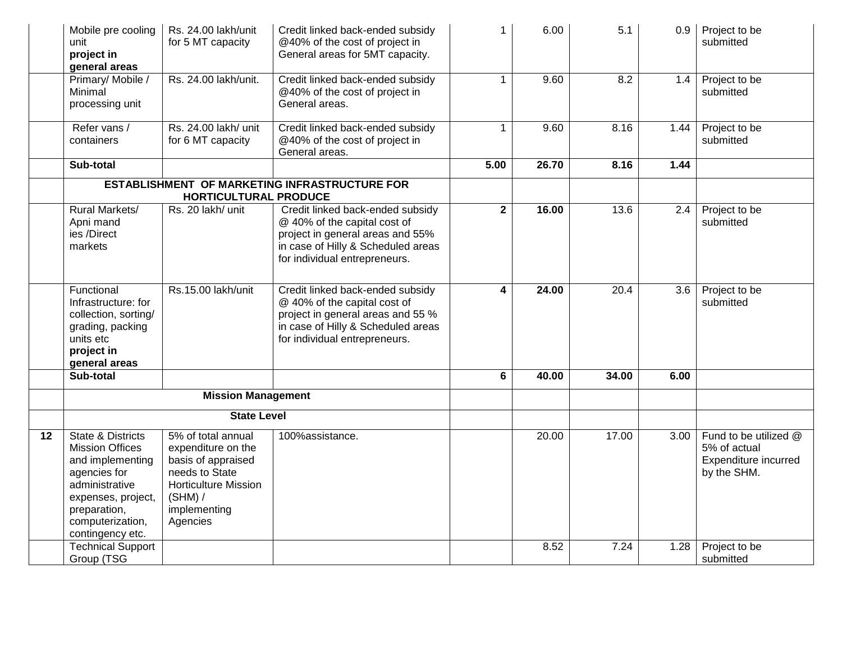|    | Mobile pre cooling<br>unit<br>project in<br>general areas                                                                                                                       | Rs. 24.00 lakh/unit<br>for 5 MT capacity                                                                                                               | Credit linked back-ended subsidy<br>@40% of the cost of project in<br>General areas for 5MT capacity.                                                                        | $\mathbf{1}$ | 6.00  | 5.1   | 0.9           | Project to be<br>submitted                                                   |
|----|---------------------------------------------------------------------------------------------------------------------------------------------------------------------------------|--------------------------------------------------------------------------------------------------------------------------------------------------------|------------------------------------------------------------------------------------------------------------------------------------------------------------------------------|--------------|-------|-------|---------------|------------------------------------------------------------------------------|
|    | Primary/ Mobile /<br>Minimal<br>processing unit                                                                                                                                 | Rs. 24.00 lakh/unit.                                                                                                                                   | Credit linked back-ended subsidy<br>@40% of the cost of project in<br>General areas.                                                                                         | $\mathbf{1}$ | 9.60  | 8.2   | 1.4           | Project to be<br>submitted                                                   |
|    | Refer vans /<br>containers                                                                                                                                                      | Rs. 24.00 lakh/ unit<br>for 6 MT capacity                                                                                                              | Credit linked back-ended subsidy<br>@40% of the cost of project in<br>General areas.                                                                                         | $\mathbf{1}$ | 9.60  | 8.16  | 1.44          | Project to be<br>submitted                                                   |
|    | Sub-total                                                                                                                                                                       |                                                                                                                                                        |                                                                                                                                                                              | 5.00         | 26.70 | 8.16  | 1.44          |                                                                              |
|    |                                                                                                                                                                                 | HORTICULTURAL PRODUCE                                                                                                                                  | ESTABLISHMENT OF MARKETING INFRASTRUCTURE FOR                                                                                                                                |              |       |       |               |                                                                              |
|    | <b>Rural Markets/</b><br>Apni mand<br>ies /Direct<br>markets                                                                                                                    | Rs. 20 lakh/ unit                                                                                                                                      | Credit linked back-ended subsidy<br>@ 40% of the capital cost of<br>project in general areas and 55%<br>in case of Hilly & Scheduled areas<br>for individual entrepreneurs.  | $\mathbf{2}$ | 16.00 | 13.6  | $2.4^{\circ}$ | Project to be<br>submitted                                                   |
|    | Functional<br>Infrastructure: for<br>collection, sorting/<br>grading, packing<br>units etc<br>project in<br>general areas                                                       | Rs.15.00 lakh/unit                                                                                                                                     | Credit linked back-ended subsidy<br>@ 40% of the capital cost of<br>project in general areas and 55 %<br>in case of Hilly & Scheduled areas<br>for individual entrepreneurs. | 4            | 24.00 | 20.4  | 3.6           | Project to be<br>submitted                                                   |
|    | Sub-total                                                                                                                                                                       |                                                                                                                                                        |                                                                                                                                                                              | 6            | 40.00 | 34.00 | 6.00          |                                                                              |
|    |                                                                                                                                                                                 | <b>Mission Management</b>                                                                                                                              |                                                                                                                                                                              |              |       |       |               |                                                                              |
|    |                                                                                                                                                                                 | <b>State Level</b>                                                                                                                                     |                                                                                                                                                                              |              |       |       |               |                                                                              |
| 12 | State & Districts<br><b>Mission Offices</b><br>and implementing<br>agencies for<br>administrative<br>expenses, project,<br>preparation,<br>computerization,<br>contingency etc. | 5% of total annual<br>expenditure on the<br>basis of appraised<br>needs to State<br><b>Horticulture Mission</b><br>(SHM) /<br>implementing<br>Agencies | 100%assistance.                                                                                                                                                              |              | 20.00 | 17.00 | 3.00          | Fund to be utilized @<br>5% of actual<br>Expenditure incurred<br>by the SHM. |
|    | <b>Technical Support</b><br>Group (TSG                                                                                                                                          |                                                                                                                                                        |                                                                                                                                                                              |              | 8.52  | 7.24  | 1.28          | Project to be<br>submitted                                                   |